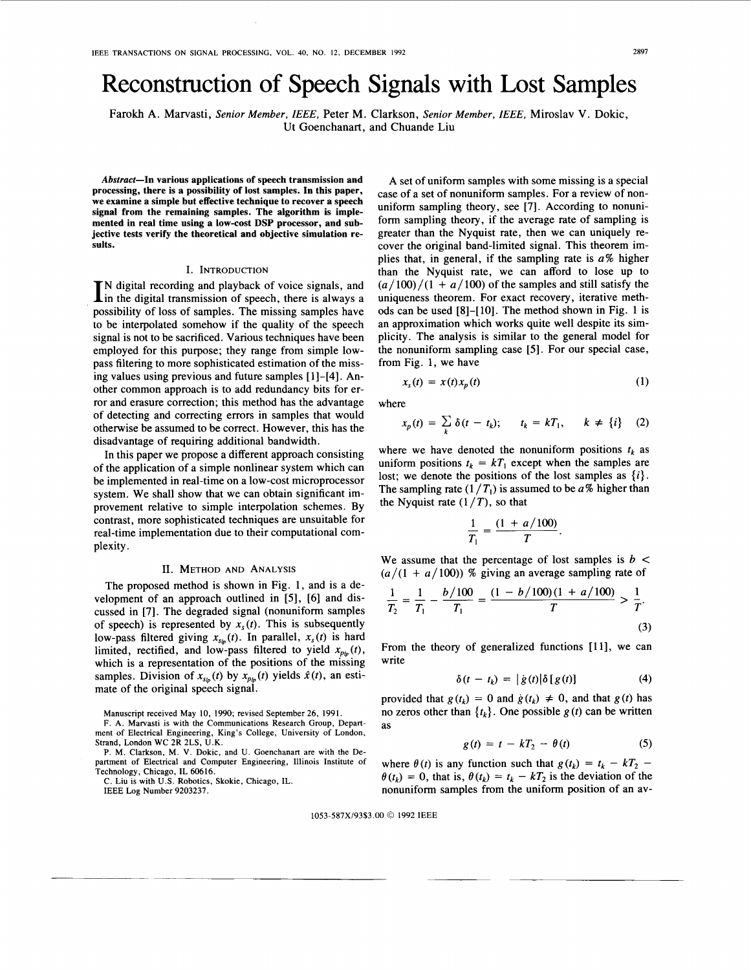# Reconstruction of Speech Signals with Lost Samples

Farokh A. Marvasti, *Senior Member,* IEEE, Peter M. Clarkson, *Senior Member,* IEEE, Miroslav V. Dokic, Ut Goenchanart, and Chuande Liu

**Abstract-In various applications of speech transmission and processing, there is a possibility of lost samples. In this paper, we examine a simple but effective technique to recover a speech signal from the remaining samples. The algorithm is implemented in real time using a low-cost DSP processor, and subjective tests verify the theoretical and objective simulation results.** 

#### I. INTRODUCTION

 $\prod$ N digital recording and playback of voice signals, and in the digital transmission of speech, there is always a possibility of loss of samples. The missing samples have to be interpolated somehow if the quality of the speech signal is not to be sacrificed. Various techniques have been employed for this purpose; they range from simple lowpass filtering to more sophisticated estimation of the missing values using previous and future samples [ 11-[4]. Another common approach is to add redundancy bits for error and erasure correction; this method has the advantage of detecting and correcting errors in samples that would otherwise be assumed to be correct. However, this has the disadvantage of requiring additional bandwidth.

In this paper we propose a different approach consisting of the application of a simple nonlinear system which can be implemented in real-time on a low-cost microprocessor system. We shall show that we can obtain significant improvement relative to simple interpolation schemes. By contrast, more sophisticated techniques are unsuitable for real-time implementation due to their computational complexity.

# 11. METHOD AND ANALYSIS

The proposed method is shown in Fig. 1, and is a development of an approach outlined in [5], **[6]** and discussed in [7]. The degraded signal (nonuniform samples of speech) is represented by  $x<sub>s</sub>(t)$ . This is subsequently low-pass filtered giving  $x_{s_{tp}}(t)$ . In parallel,  $x_s(t)$  is hard limited, rectified, and low-pass filtered to yield  $x_{p\nmid p}(t)$ , which is a representation of the positions of the missing samples. Division of  $x_{sip}(t)$  by  $x_{pip}(t)$  yields  $\hat{x}(t)$ , an estimate of the original speech signal.

Manuscript received May 10, 1990; revised September 26, 1991.

F. **A.** Marvasti is with the Communications Research Group, Department of Electrical Engineering, King's College, University of London, Strand, London WC 2R 2LS, U.K.

P. M. Clarkson, M. V. Dokic, and U. Goenchanart are with the Department of Electrical and Computer Engineering, Illinois Institute of Technology, Chicago, IL 60616.

C. Liu is with **U.S.** Robotics, Skokie, Chicago, IL. IEEE Log Number 9203237.

A set of uniform samples with some missing is a special case of a set of nonuniform samples. For a review of nonuniform sampling theory, see [7]. According to nonuniform sampling theory, if the average rate of sampling is greater than the Nyquist rate, then we can uniquely recover the original band-limited signal. This theorem implies that, in general, if the sampling rate is *a%* higher than the Nyquist rate, we can afford to lose up to  $(a/100)/(1 + a/100)$  of the samples and still satisfy the uniqueness theorem. For exact recovery, iterative methods can be used [8]-[lo]. The method shown in [Fig. 1](#page-1-0) is an approximation which works quite well despite its simplicity. The analysis is similar to the general model for the nonuniform sampling case [5]. For our special case, from Fig. 1, we have

$$
x_s(t) = x(t)x_p(t) \tag{1}
$$

where

$$
x_p(t) = \sum_k \delta(t - t_k); \qquad t_k = kT_1, \qquad k \neq \{i\} \quad (2)
$$

where we have denoted the nonuniform positions  $t_k$  as uniform positions  $t_k = kT_1$  except when the samples are lost; we denote the positions of the lost samples as  $\{i\}$ . The sampling rate  $(1/T_1)$  is assumed to be  $a\%$  higher than the Nyquist rate  $(1/T)$ , so that

$$
\frac{1}{T_1} = \frac{(1 + a/100)}{T}.
$$

We assume that the percentage of lost samples is  $b <$  $(a/(1 + a/100))$  % giving an average sampling rate of

$$
\frac{1}{T_2} = \frac{1}{T_1} - \frac{b/100}{T_1} = \frac{(1 - b/100)(1 + a/100)}{T} > \frac{1}{T}.
$$
\n(3)

From the theory of generalized functions [11], we can write

$$
\delta(t - t_k) = | \dot{g}(t) | \delta[g(t)] \qquad (4)
$$

provided that  $g(t_k) = 0$  and  $\dot{g}(t_k) \neq 0$ , and that  $g(t)$  has no zeros other than  $\{t_k\}$ . One possible  $g(t)$  can be written as

$$
g(t) = t - kT_2 - \theta(t) \tag{5}
$$

where  $\theta(t)$  is any function such that  $g(t_k) = t_k - kT_2$  –  $\theta(t_k) = 0$ , that is,  $\theta(t_k) = t_k - kT_2$  is the deviation of the nonuniform samples from the uniform position of an av-

1053-587X/93\$3.00 *0* 1992 IEEE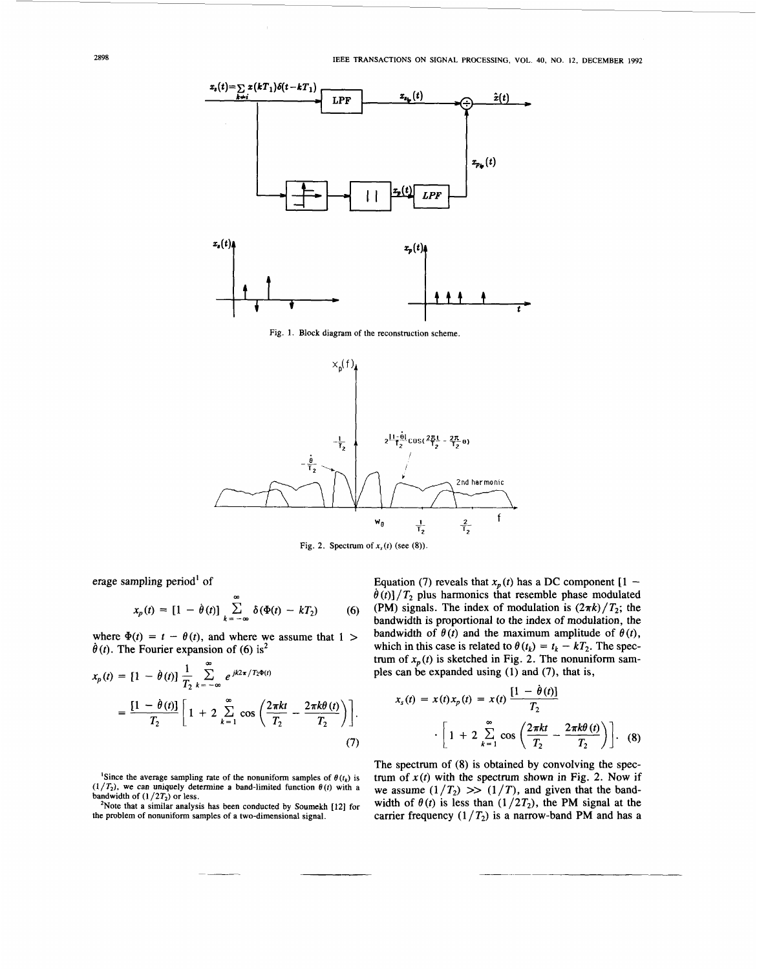<span id="page-1-0"></span>

**Fig. 1. Block diagram** of **the reconstruction scheme.** 



Fig. 2. Spectrum of  $x<sub>s</sub>(t)$  (see (8)).

erage sampling period' of

$$
x_p(t) = [1 - \dot{\theta}(t)] \sum_{k=-\infty}^{\infty} \delta(\Phi(t) - kT_2)
$$
 (6)

where  $\Phi(t) = t - \theta(t)$ , and where we assume that  $1 >$  $\dot{\theta}$ (*t*). The Fourier expansion of (6) is<sup>2</sup>

$$
x_p(t) = [1 - \dot{\theta}(t)] \frac{1}{T_2} \sum_{k=-\infty}^{\infty} e^{jk2\pi/T_2\Phi(t)}
$$
  
=  $\frac{[1 - \dot{\theta}(t)]}{T_2} \left[ 1 + 2 \sum_{k=1}^{\infty} \cos \left( \frac{2\pi kt}{T_2} - \frac{2\pi k\theta(t)}{T_2} \right) \right].$  (7)

<sup>1</sup>Since the average sampling rate of the nonuniform samples of  $\theta(t_k)$  is  $(1/T_2)$ , we can uniquely determine a band-limited function  $\theta(t)$  with a **bandwidth of**  $(1/2T_2)$  **or less.** 

Equation (7) reveals that  $x_p(t)$  has a DC component  $[1 \dot{\theta}(t)$ ] /  $T_2$  plus harmonics that resemble phase modulated (PM) signals. The index of modulation is  $(2\pi k)/T_2$ ; the bandwidth is proportional to the index of modulation, the bandwidth of  $\theta(t)$  and the maximum amplitude of  $\theta(t)$ , which in this case is related to  $\theta(t_k) = t_k - kT_2$ . The spectrum of  $x_p(t)$  is sketched in Fig. 2. The nonuniform samples can be expanded using **(1)** and *(7),* that is,

$$
x_s(t) = x(t)x_p(t) = x(t) \frac{[1 - \dot{\theta}(t)]}{T_2}
$$

$$
\cdot \left[ 1 + 2 \sum_{k=1}^{\infty} \cos \left( \frac{2\pi kt}{T_2} - \frac{2\pi k\theta(t)}{T_2} \right) \right].
$$
 (8)

The spectrum of (8) is obtained by convolving the spectrum of  $x(t)$  with the spectrum shown in Fig. 2. Now if we assume  $(1/T_2)$  >>  $(1/T)$ , and given that the bandwidth of  $\theta(t)$  is less than  $(1/2T_2)$ , the PM signal at the carrier frequency  $(1/T_2)$  is a narrow-band PM and has a

<sup>&</sup>lt;sup>2</sup>Note that a similar analysis has been conducted by Soumekh [12] for **the problem** of **nonuniform samples** of **a two-dimensional signal.**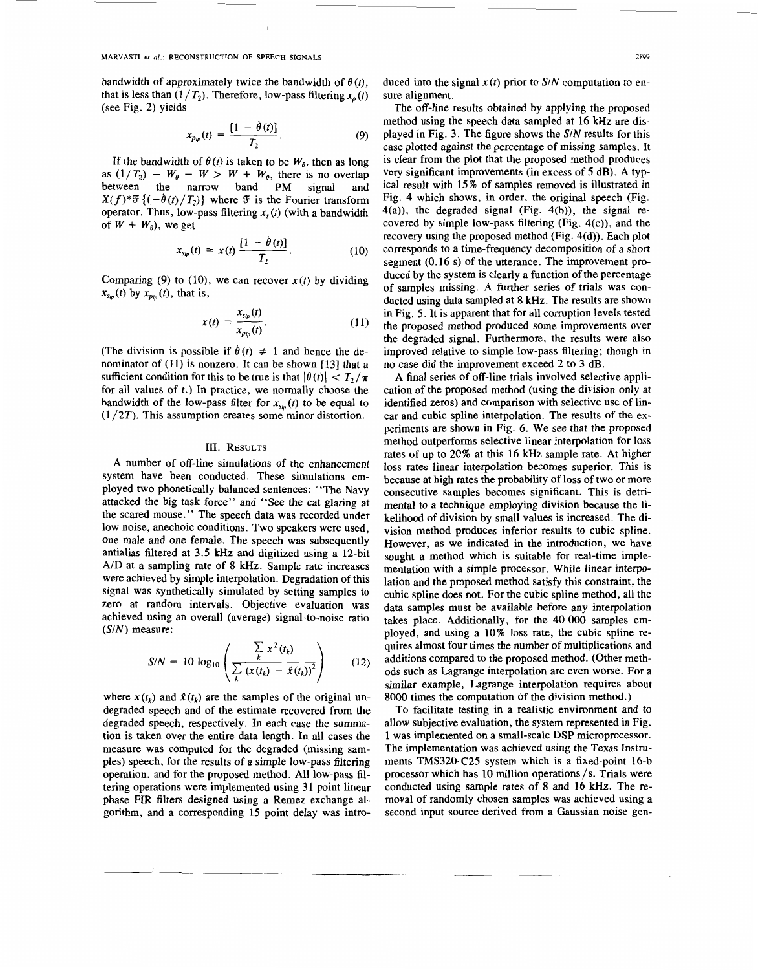bandwidth of approximately twice the bandwidth of  $\theta(t)$ . that is less than  $(1/T_2)$ . Therefore, low-pass filtering  $x_p(t)$ (see Fig. 2) yields

$$
x_{p_{lp}}(t) = \frac{[1 - \dot{\theta}(t)]}{T_2}.
$$
 (9)

If the bandwidth of  $\theta(t)$  is taken to be  $W_{\theta}$ , then as long as  $(1/T_2) - W_\theta - W > W + W_\theta$ , there is no overlap<br>between the narrow band PM signal and between the narrow band  $X(f)^* \mathcal{F}\{(-\dot{\theta}(t)/T_2)\}\)$  where  $\mathcal F$  is the Fourier transform operator. Thus, low-pass filtering  $x<sub>s</sub>(t)$  (with a bandwidth of  $W + W_0$ , we get

$$
x_{\rm sip}(t) = x(t) \frac{[1 - \dot{\theta}(t)]}{T_2}.
$$
 (10)

Comparing (9) to (10), we can recover  $x(t)$  by dividing  $x_{s_{i}}(t)$  by  $x_{p_{i}}(t)$ , that is,

$$
x(t) = \frac{x_{sip}(t)}{x_{pip}(t)}.
$$
 (11)

(The division is possible if  $\dot{\theta}(t) \neq 1$  and hence the denominator of (11) is nonzero. It can be shown [13] that a sufficient condition for this to be true is that  $|\theta(t)| < T_2/\pi$ for all values of  $t$ .) In practice, we normally choose the bandwidth of the low-pass filter for  $x_{s}$ <sub> $(t)$ </sub> to be equal to  $(1/2T)$ . This assumption creates some minor distortion.

## III. RESULTS

A number of off-line simulations of the enhancement system have been conducted. These simulations employed two phonetically balanced sentences: ' 'The Navy attacked the big task force" and "See the cat glaring at the scared mouse." The speech data was recorded under low noise, anechoic conditions. Two speakers were used, one male and one female. The speech was subsequently antialias filtered at **3.5** kHz and digitized using a 12-bit A/D at a sampling rate of 8 kHz. Sample rate increases were achieved by simple interpolation. Degradation of this signal was synthetically simulated by setting samples to zero at random intervals. Objective evaluation was achieved using an overall (average) signal-to-noise ratio  $(S/N)$  measure:

$$
S/N = 10 \log_{10} \left( \frac{\sum_{k} x^{2} (t_{k})}{\sum_{k} (x(t_{k}) - \hat{x}(t_{k}))^{2}} \right)
$$
 (12)

where  $x(t_k)$  and  $\hat{x}(t_k)$  are the samples of the original undegraded speech and of the estimate recovered from the degraded speech, respectively. In each case the summation is taken over the entire data length. In all cases the measure was computed for the degraded (missing samples) speech, for the results of a simple low-pass filtering operation, and for the proposed method. All low-pass filtering operations were implemented using 31 point linear phase FIR filters designed using a Remez exchange algorithm, and a corresponding 15 point delay was introduced into the signal  $x(t)$  prior to  $S/N$  computation to ensure alignment.

The off-line results obtained by applying the proposed method using the speech data sampled at 16 kHz are dis-played in [Fig. 3.](#page-3-0) The figure shows the  $S/N$  results for this case plotted against the percentage of missing samples. It is clear from the plot that the proposed method produces very significant improvements (in excess of *5* dB). A typical result with 15% of samples removed is illustrated in [Fig. 4](#page-3-0) which shows, in order, the original speech (Fig.  $4(a)$ ), the degraded signal (Fig.  $4(b)$ ), the signal recovered by simple low-pass filtering (Fig. 4(c)), and the recovery using the proposed method (Fig. 4(d)). Each plot corresponds to a time-frequency decomposition of a short segment (0.16 s) of the utterance. The improvement produced by the system is clearly a function of the percentage of samples missing. A further **series** of trials was conducted using data sampled at 8 kHz. The results are shown in [Fig.](#page-5-0) *5.* It is apparent that for all corruption levels tested the proposed method produced some improvements over the degraded signal. Furthermore, the results were also improved relative to simple low-pass filtering; though in no case did the improvement exceed 2 to 3 dB.

A final series of off-line trials involved selective application of the proposed method (using the division only at identified zeros) and comparison with selective use of linear and cubic spline interpolation. The results of the experiments are shown in [Fig. 6.](#page-5-0) We see that the proposed method outperforms selective linear interpolation for loss rates of up to 20% at this 16 **kHz** sample rate. At higher loss rates linear interpolation becomes superior. This is because at high rates the probability of loss of two or more consecutive samples becomes significant. This is detrimental to a technique employing division because the likelihood of division by small values is increased. The division method produces inferior results to cubic spline. However, as we indicated in the introduction, we have sought a method which is suitable for real-time implementation with a simple processor. While linear interpolation and the proposed method satisfy this constraint, the cubic spline does not. For the cubic spline method, all the data samples must be available before any interpolation takes place. Additionally, for the 40 000 samples employed, and using a 10% loss rate, the cubic spline requires almost four times the number of multiplications and additions compared to the proposed method. (Other methods such as Lagrange interpolation are even worse. For a similar example, Lagrange interpolation requires about 8000 times the computation of the division method.)

To facilitate testing in a realistic environment and to allow subjective evaluation, the system represented in [Fig.](#page-1-0) [1](#page-1-0) was implemented on a small-scale DSP microprocessor. The implementation was achieved using the Texas Instruments TMS320-C25 system which is a fixed-point 16-b processor which has 10 million operations/s. Trials were conducted using sample rates of 8 and 16 kHz. The removal of randomly chosen samples was achieved using a second input source derived from a Gaussian noise gen-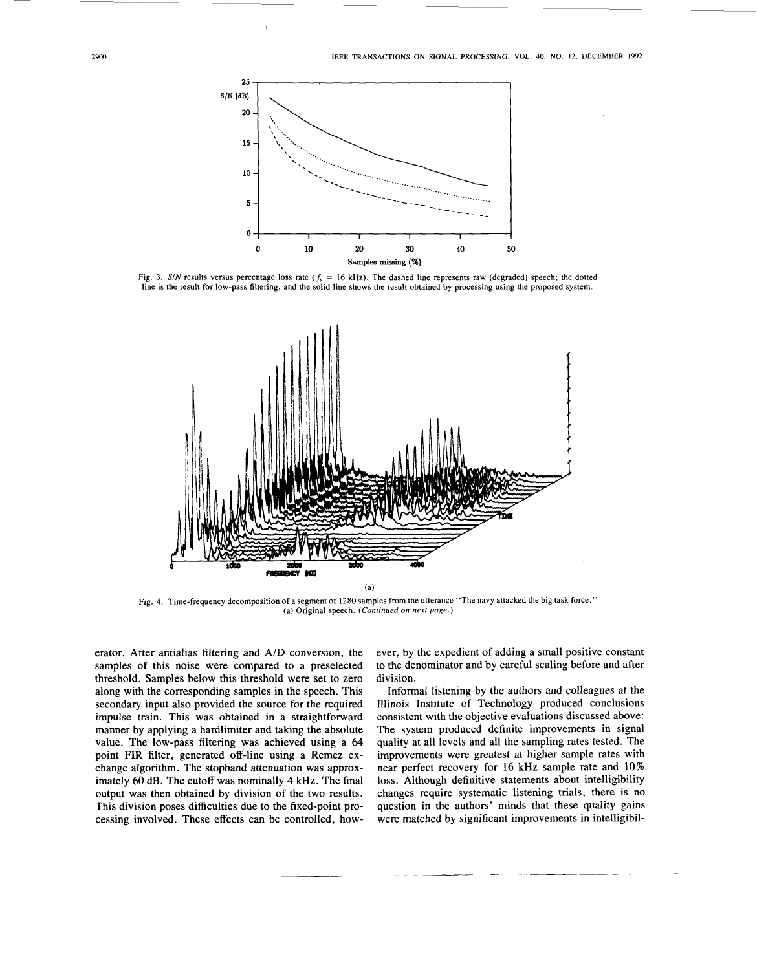

Fig. 3. S/N results versus percentage loss rate  $(f_s = 16 \text{ kHz})$ . The dashed line represents raw (degraded) speech; the dotted line is the result for low-pass filtering, and the solid line shows the result obtained by processing using the proposed system.



Fig. 4. Time-frequency decomposition of a segment of 1280 samples from the utterance "The navy attacked the big task force." (a) Original speech. *(Continued on next page.)* 

erator. After antialias filtering and A/D conversion, the samples of this noise were compared to a preselected threshold. Samples below this threshold were set to zero along with the corresponding samples in the speech. This secondary input also provided the source for the required impulse train. This was obtained in a straightforward manner by applying a hardlimiter and taking the absolute value. The low-pass filtering was achieved using a *64*  point FIR filter, generated off-line using a Remez exchange algorithm. The stopband attenuation was approximately 60 dB. The cutoff was nominally **4** kHz. The final output was then obtained by division of the two results. This division poses difficulties due to the fixed-point processing involved. These effects can be controlled, however, by the expedient of adding a small positive constant to the denominator and by careful scaling before and after division.

Informal listening by the authors and colleagues at the Illinois Institute of Technology produced conclusions consistent with the objective evaluations discussed above: The system produced definite improvements in signal quality at all levels and all the sampling rates tested. The improvements were greatest at higher sample rates with near perfect recovery for 16 kHz sample rate and 10% loss. Although definitive statements about intelligibility changes require systematic listening trials, there is no question in the authors' minds that these quality gains were matched by significant improvements in intelligibil-

<span id="page-3-0"></span>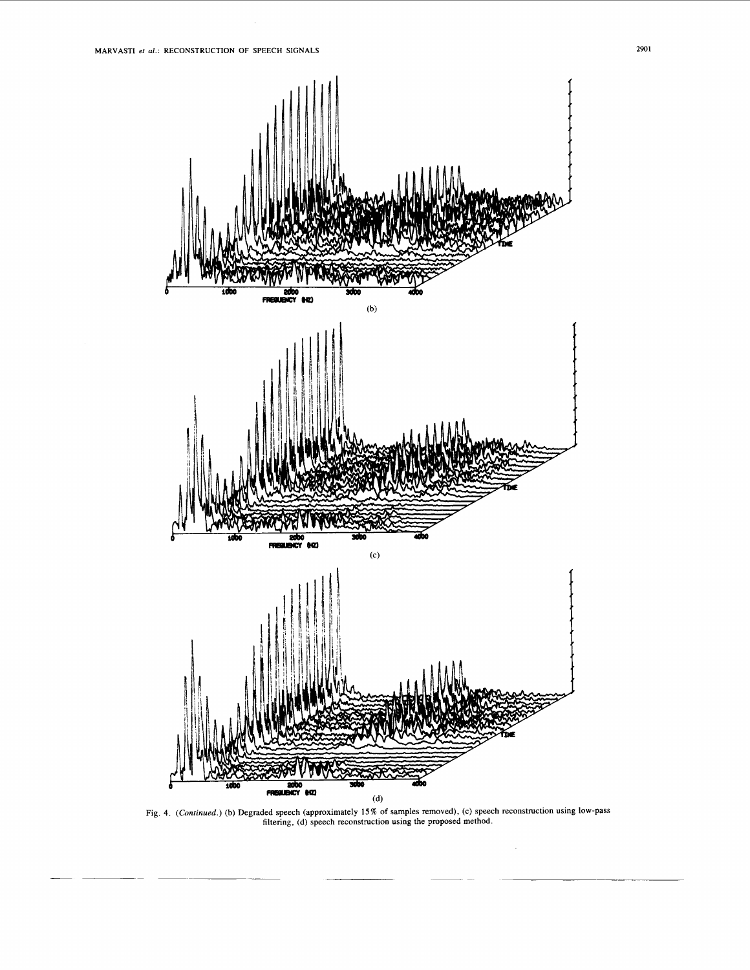

[Fig.](#page-3-0) 4. (Continued.) (b) Degraded speech (approximately 15% of samples removed), (c) speech reconstruction using low-pass filtering, (d) speech reconstruction using the proposed method.

 $\hat{\boldsymbol{\beta}}$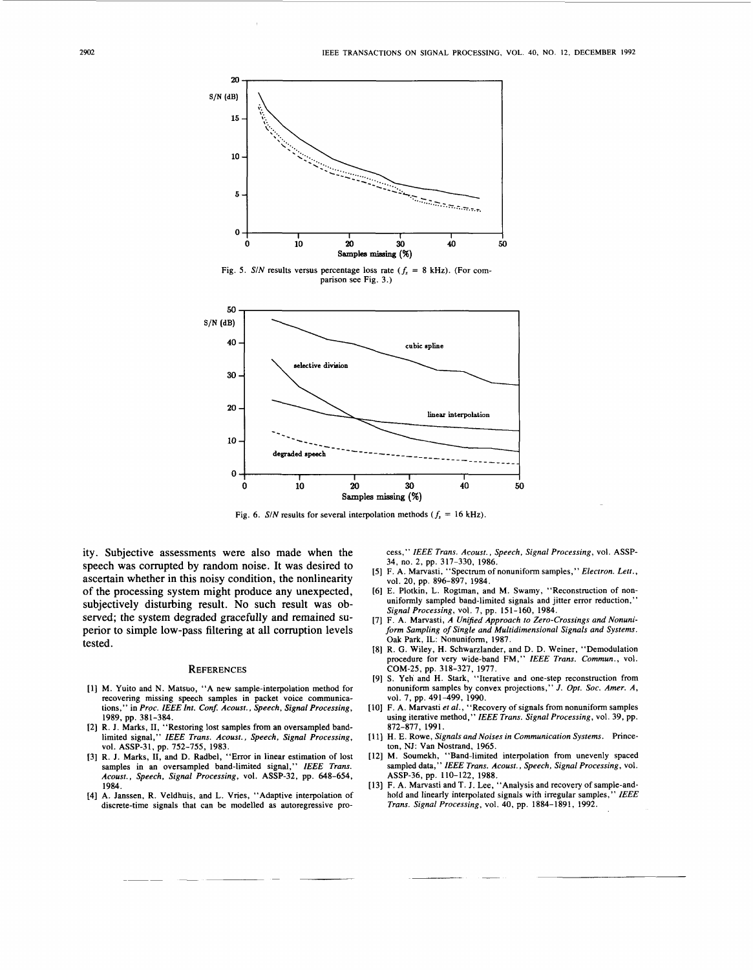<span id="page-5-0"></span>

**30**  *20*  linear interpolation *10*  degraded speech **o] I I I I**  *0* **10** *20* **30 40** *50*  **Samples** *missing* (%)

Fig. 6. *S/N* results for several interpolation methods  $(f_s = 16 \text{ kHz})$ .

ity. Subjective assessments were also made when the speech was corrupted by random noise. It was desired to ascertain whether in this noisy condition, the nonlinearity of the processing system might produce any unexpected, subjectively disturbing result. No such result was observed; the system degraded gracefully and remained superior to simple low-pass filtering at all corruption levels tested.

### **REFERENCES**

- I11 M. Yuito and N. Matsuo, "A new sample-interpolation method for recovering missing speech samples in packet voice communications," in *Proc. IEEE Int. Conf. Acoust., Speech, Signal Processing,*  1989, pp. 381-384.
- I21 R. J. Marks, **11,** "Restoring lost samples from an oversampled bandlimited signal," *IEEE Trans. Acoust., Speech, Signal Processing,*  vol. ASSP-31, pp. 752-755, 1983.
- 131 R. J. Marks, **11,** and D. Radbel, "Error in linear estimation of lost samples in an oversampled band-limited signal," IEEE Trans. *Acoust., Speech, Signal Processing,* vol. ASSP-32, pp. 648-654, 1984.
- [4] A. Janssen, R. Veldhuis, and L. Vries, "Adaptive interpolation of discrete-time signals that can be modelled as autoregressive pro-

cess," *IEEE Trans. Acoust., Speech, Signal Processing,* vol. ASSP-34, no. 2, pp. 317-330, 1986.

- F. A. Marvasti, "Spectrum of nonuniform samples," *Electron. Lett.,*  vol. 20, pp. 896-897, 1984.
- E. Plotkin, L. Rogtman, and M. Swamy, "Reconstruction of nonuniformly sampled band-limited signals and jitter error reduction,' *Signal Processing,* vol. 7, pp. 151-160, 1984.
- F. A. Marvasti, A *Unified Approach to Zero-Crossings and Nonuniform Sampling of Single and Multidimensional Signals and Systems.*  Oak Park, IL: Nonuniform, 1987.
- R. G. Wiley, H. Schwarzlander, and D. D. Weiner, "Demodulation procedure for very wide-band FM," *IEEE Trans. Commun.,* vol. COM-25, pp. 318-327, 1977.
- [9] S. Yeh and H. Stark, "Iterative and one-step reconstruction from nonuniform samples by convex projections," *J. Opt. Soc. Amer. A,*  vol. 7, pp. 491-499, 1990.
- F. A. Marvasti *et al.,* "Recovery of signals from nonuniform samples using iterative method," *IEEE Trans. Signal Processing,* vol. 39, pp. 872-877. 1991.
- [l 1) **H.** E. Rowe, *Signals and Noises in Communication Systems.* Princeton, NJ: Van Nostrand, 1965. [12] M. Soumekh, "Band-limited interpolation from unevenly spaced
- sampled data," *IEEE Trans. Acoust., Speech, Signal Processing,* vol. ASSP-36, pp. 110-122, 1988.
- [13] F. A. Marvasti and T. J. Lee, "Analysis and recovery of sample-andhold and linearly interpolated signals with irregular samples, " *IEEE Trans. Signal Processing,* vol. 40, pp. 1884-1891, 1992.